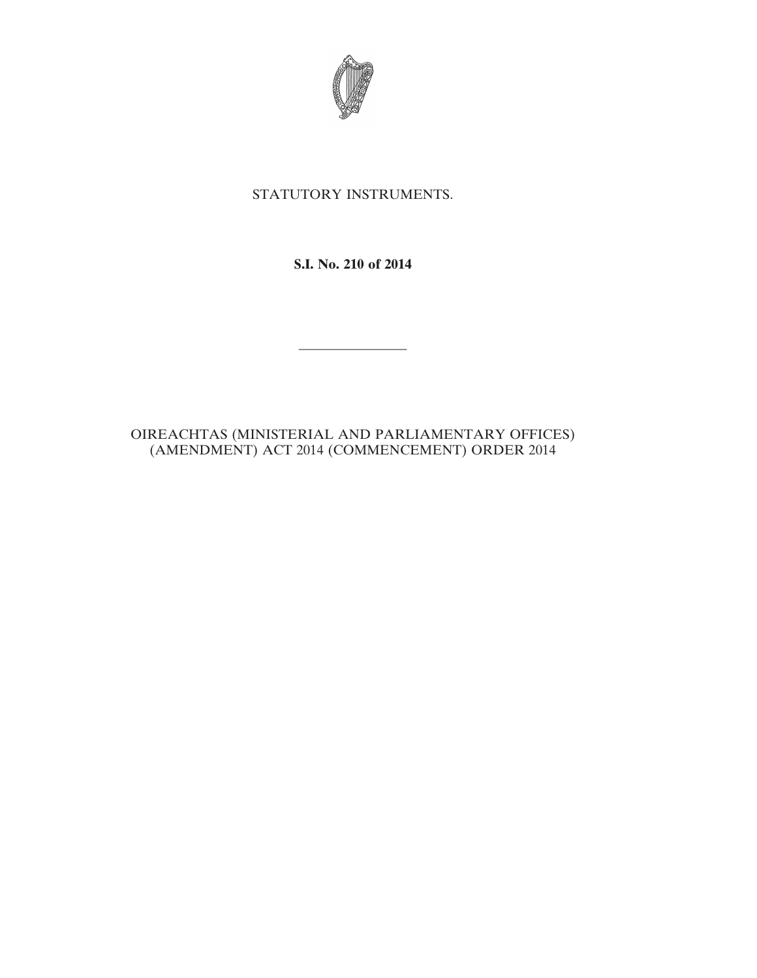

## STATUTORY INSTRUMENTS.

## **S.I. No. 210 of 2014**

————————

## OIREACHTAS (MINISTERIAL AND PARLIAMENTARY OFFICES) (AMENDMENT) ACT 2014 (COMMENCEMENT) ORDER 2014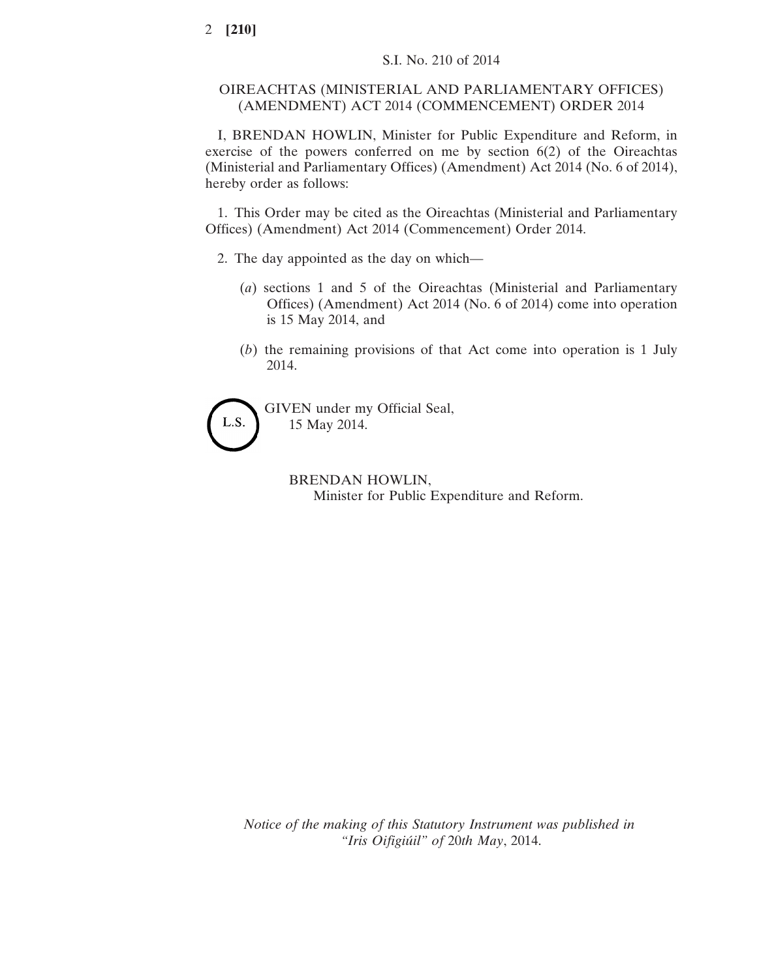## OIREACHTAS (MINISTERIAL AND PARLIAMENTARY OFFICES) (AMENDMENT) ACT 2014 (COMMENCEMENT) ORDER 2014

I, BRENDAN HOWLIN, Minister for Public Expenditure and Reform, in exercise of the powers conferred on me by section 6(2) of the Oireachtas (Ministerial and Parliamentary Offices) (Amendment) Act 2014 (No. 6 of 2014), hereby order as follows:

1. This Order may be cited as the Oireachtas (Ministerial and Parliamentary Offices) (Amendment) Act 2014 (Commencement) Order 2014.

- 2. The day appointed as the day on which—
	- (*a*) sections 1 and 5 of the Oireachtas (Ministerial and Parliamentary Offices) (Amendment) Act 2014 (No. 6 of 2014) come into operation is 15 May 2014, and
	- (*b*) the remaining provisions of that Act come into operation is 1 July 2014.



GIVEN under my Official Seal, 15 May 2014.

> BRENDAN HOWLIN, Minister for Public Expenditure and Reform.

*Notice of the making of this Statutory Instrument was published in "Iris Oifigiúil" of* 20*th May*, 2014.